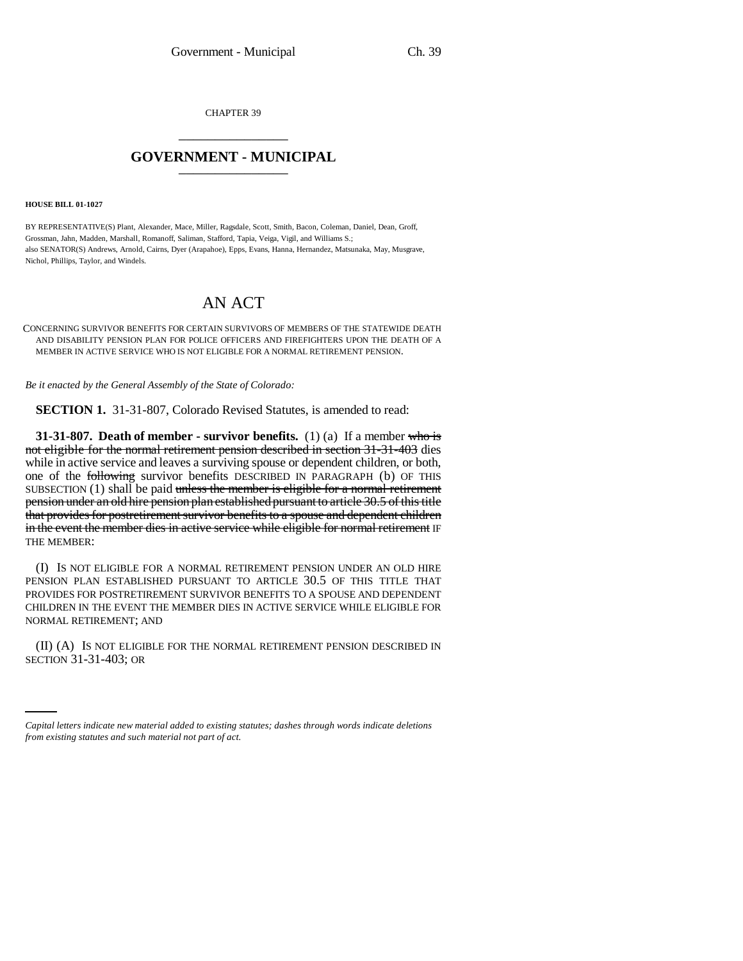CHAPTER 39 \_\_\_\_\_\_\_\_\_\_\_\_\_\_\_

## **GOVERNMENT - MUNICIPAL** \_\_\_\_\_\_\_\_\_\_\_\_\_\_\_

**HOUSE BILL 01-1027**

BY REPRESENTATIVE(S) Plant, Alexander, Mace, Miller, Ragsdale, Scott, Smith, Bacon, Coleman, Daniel, Dean, Groff, Grossman, Jahn, Madden, Marshall, Romanoff, Saliman, Stafford, Tapia, Veiga, Vigil, and Williams S.; also SENATOR(S) Andrews, Arnold, Cairns, Dyer (Arapahoe), Epps, Evans, Hanna, Hernandez, Matsunaka, May, Musgrave, Nichol, Phillips, Taylor, and Windels.

## AN ACT

CONCERNING SURVIVOR BENEFITS FOR CERTAIN SURVIVORS OF MEMBERS OF THE STATEWIDE DEATH AND DISABILITY PENSION PLAN FOR POLICE OFFICERS AND FIREFIGHTERS UPON THE DEATH OF A MEMBER IN ACTIVE SERVICE WHO IS NOT ELIGIBLE FOR A NORMAL RETIREMENT PENSION.

*Be it enacted by the General Assembly of the State of Colorado:*

**SECTION 1.** 31-31-807, Colorado Revised Statutes, is amended to read:

**31-31-807.** Death of member - survivor benefits. (1) (a) If a member who is not eligible for the normal retirement pension described in section 31-31-403 dies while in active service and leaves a surviving spouse or dependent children, or both, one of the following survivor benefits DESCRIBED IN PARAGRAPH (b) OF THIS SUBSECTION  $(1)$  shall be paid unless the member is eligible for a normal retirement pension under an old hire pension plan established pursuant to article 30.5 of this title that provides for postretirement survivor benefits to a spouse and dependent children in the event the member dies in active service while eligible for normal retirement IF THE MEMBER:

(I) IS NOT ELIGIBLE FOR A NORMAL RETIREMENT PENSION UNDER AN OLD HIRE PENSION PLAN ESTABLISHED PURSUANT TO ARTICLE 30.5 OF THIS TITLE THAT PROVIDES FOR POSTRETIREMENT SURVIVOR BENEFITS TO A SPOUSE AND DEPENDENT CHILDREN IN THE EVENT THE MEMBER DIES IN ACTIVE SERVICE WHILE ELIGIBLE FOR NORMAL RETIREMENT; AND

(II) (A) IS NOT ELIGIBLE FOR THE NORMAL RETIREMENT PENSION DESCRIBED IN SECTION 31-31-403; OR

*Capital letters indicate new material added to existing statutes; dashes through words indicate deletions from existing statutes and such material not part of act.*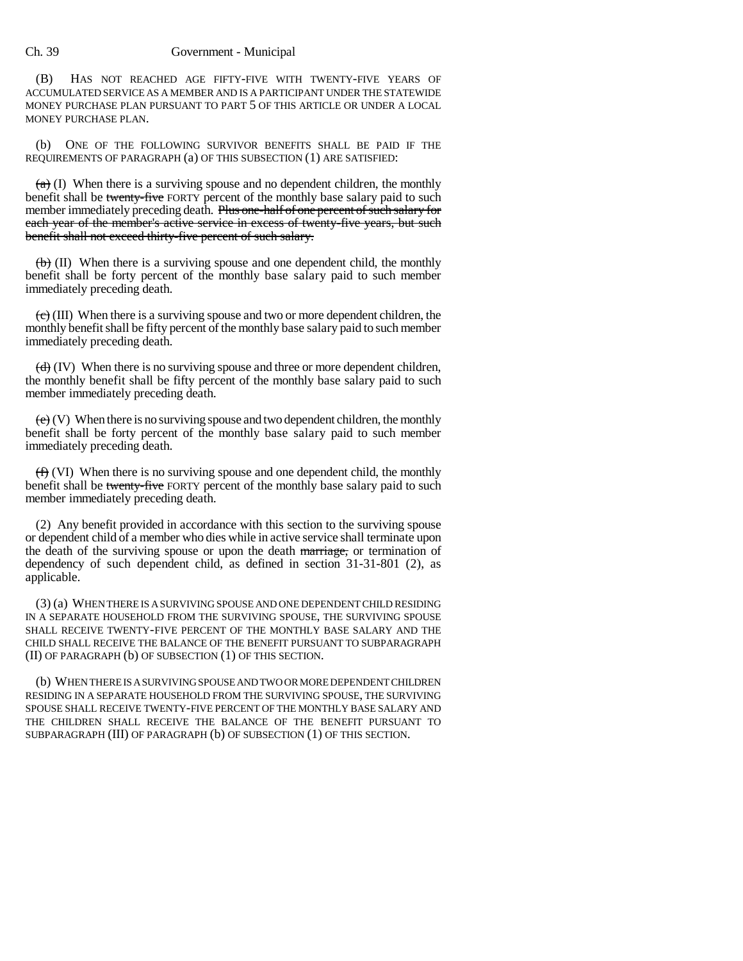Ch. 39 Government - Municipal

(B) HAS NOT REACHED AGE FIFTY-FIVE WITH TWENTY-FIVE YEARS OF ACCUMULATED SERVICE AS A MEMBER AND IS A PARTICIPANT UNDER THE STATEWIDE MONEY PURCHASE PLAN PURSUANT TO PART 5 OF THIS ARTICLE OR UNDER A LOCAL MONEY PURCHASE PLAN.

(b) ONE OF THE FOLLOWING SURVIVOR BENEFITS SHALL BE PAID IF THE REQUIREMENTS OF PARAGRAPH (a) OF THIS SUBSECTION (1) ARE SATISFIED:

 $(a)$  (I) When there is a surviving spouse and no dependent children, the monthly benefit shall be twenty-five FORTY percent of the monthly base salary paid to such member immediately preceding death. Plus one-half of one percent of such salary for each year of the member's active service in excess of twenty-five years, but such benefit shall not exceed thirty-five percent of such salary.

 $\langle \theta \rangle$  (II) When there is a surviving spouse and one dependent child, the monthly benefit shall be forty percent of the monthly base salary paid to such member immediately preceding death.

 $\left(\frac{e}{c}\right)$  (III) When there is a surviving spouse and two or more dependent children, the monthly benefit shall be fifty percent of the monthly base salary paid to such member immediately preceding death.

 $(d)$  (IV) When there is no surviving spouse and three or more dependent children, the monthly benefit shall be fifty percent of the monthly base salary paid to such member immediately preceding death.

 $(e)$  (V) When there is no surviving spouse and two dependent children, the monthly benefit shall be forty percent of the monthly base salary paid to such member immediately preceding death.

(f) (VI) When there is no surviving spouse and one dependent child, the monthly benefit shall be twenty-five FORTY percent of the monthly base salary paid to such member immediately preceding death.

(2) Any benefit provided in accordance with this section to the surviving spouse or dependent child of a member who dies while in active service shall terminate upon the death of the surviving spouse or upon the death marriage, or termination of dependency of such dependent child, as defined in section 31-31-801 (2), as applicable.

(3) (a) WHEN THERE IS A SURVIVING SPOUSE AND ONE DEPENDENT CHILD RESIDING IN A SEPARATE HOUSEHOLD FROM THE SURVIVING SPOUSE, THE SURVIVING SPOUSE SHALL RECEIVE TWENTY-FIVE PERCENT OF THE MONTHLY BASE SALARY AND THE CHILD SHALL RECEIVE THE BALANCE OF THE BENEFIT PURSUANT TO SUBPARAGRAPH (II) OF PARAGRAPH (b) OF SUBSECTION (1) OF THIS SECTION.

(b) WHEN THERE IS A SURVIVING SPOUSE AND TWO OR MORE DEPENDENT CHILDREN RESIDING IN A SEPARATE HOUSEHOLD FROM THE SURVIVING SPOUSE, THE SURVIVING SPOUSE SHALL RECEIVE TWENTY-FIVE PERCENT OF THE MONTHLY BASE SALARY AND THE CHILDREN SHALL RECEIVE THE BALANCE OF THE BENEFIT PURSUANT TO SUBPARAGRAPH (III) OF PARAGRAPH (b) OF SUBSECTION (1) OF THIS SECTION.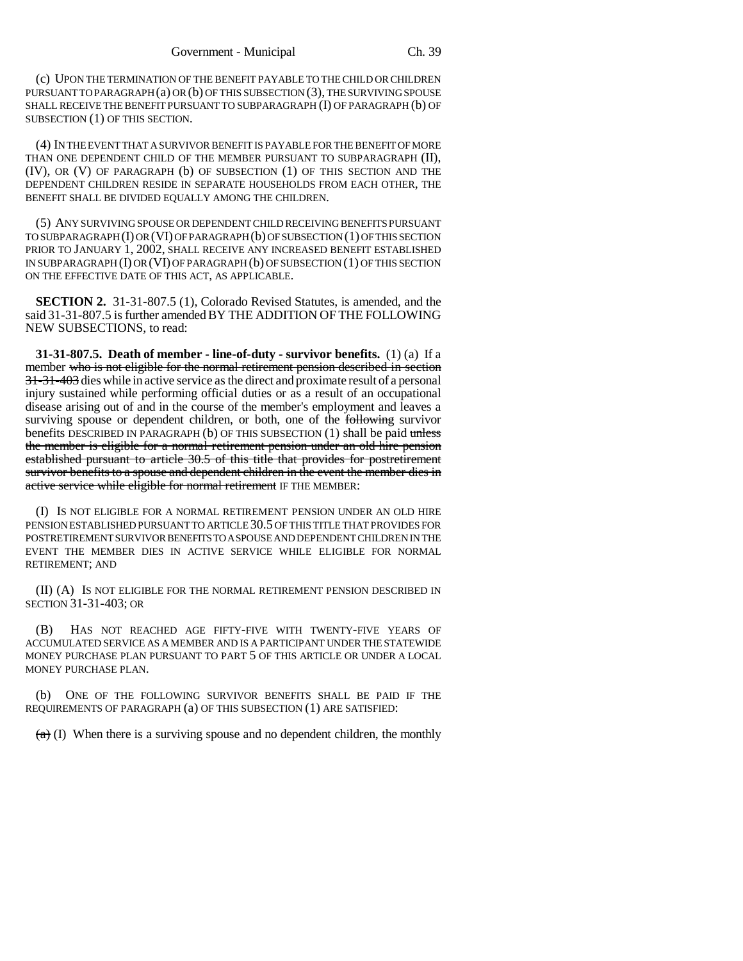(c) UPON THE TERMINATION OF THE BENEFIT PAYABLE TO THE CHILD OR CHILDREN PURSUANT TO PARAGRAPH (a) OR (b) OF THIS SUBSECTION (3), THE SURVIVING SPOUSE SHALL RECEIVE THE BENEFIT PURSUANT TO SUBPARAGRAPH (I) OF PARAGRAPH (b) OF SUBSECTION (1) OF THIS SECTION.

(4) IN THE EVENT THAT A SURVIVOR BENEFIT IS PAYABLE FOR THE BENEFIT OF MORE THAN ONE DEPENDENT CHILD OF THE MEMBER PURSUANT TO SUBPARAGRAPH (II), (IV), OR (V) OF PARAGRAPH (b) OF SUBSECTION (1) OF THIS SECTION AND THE DEPENDENT CHILDREN RESIDE IN SEPARATE HOUSEHOLDS FROM EACH OTHER, THE BENEFIT SHALL BE DIVIDED EQUALLY AMONG THE CHILDREN.

(5) ANY SURVIVING SPOUSE OR DEPENDENT CHILD RECEIVING BENEFITS PURSUANT TO SUBPARAGRAPH (I) OR (VI) OF PARAGRAPH (b) OF SUBSECTION (1) OF THIS SECTION PRIOR TO JANUARY 1, 2002, SHALL RECEIVE ANY INCREASED BENEFIT ESTABLISHED IN SUBPARAGRAPH (I) OR (VI) OF PARAGRAPH (b) OF SUBSECTION (1) OF THIS SECTION ON THE EFFECTIVE DATE OF THIS ACT, AS APPLICABLE.

**SECTION 2.** 31-31-807.5 (1), Colorado Revised Statutes, is amended, and the said 31-31-807.5 is further amended BY THE ADDITION OF THE FOLLOWING NEW SUBSECTIONS, to read:

**31-31-807.5. Death of member - line-of-duty - survivor benefits.** (1) (a) If a member who is not eligible for the normal retirement pension described in section 31-31-403 dies while in active service as the direct and proximate result of a personal injury sustained while performing official duties or as a result of an occupational disease arising out of and in the course of the member's employment and leaves a surviving spouse or dependent children, or both, one of the **following** survivor benefits DESCRIBED IN PARAGRAPH (b) OF THIS SUBSECTION  $(1)$  shall be paid unless the member is eligible for a normal retirement pension under an old hire pension established pursuant to article 30.5 of this title that provides for postretirement survivor benefits to a spouse and dependent children in the event the member dies in active service while eligible for normal retirement IF THE MEMBER:

(I) IS NOT ELIGIBLE FOR A NORMAL RETIREMENT PENSION UNDER AN OLD HIRE PENSION ESTABLISHED PURSUANT TO ARTICLE 30.5 OF THIS TITLE THAT PROVIDES FOR POSTRETIREMENT SURVIVOR BENEFITS TO A SPOUSE AND DEPENDENT CHILDREN IN THE EVENT THE MEMBER DIES IN ACTIVE SERVICE WHILE ELIGIBLE FOR NORMAL RETIREMENT; AND

(II) (A) IS NOT ELIGIBLE FOR THE NORMAL RETIREMENT PENSION DESCRIBED IN SECTION 31-31-403; OR

(B) HAS NOT REACHED AGE FIFTY-FIVE WITH TWENTY-FIVE YEARS OF ACCUMULATED SERVICE AS A MEMBER AND IS A PARTICIPANT UNDER THE STATEWIDE MONEY PURCHASE PLAN PURSUANT TO PART 5 OF THIS ARTICLE OR UNDER A LOCAL MONEY PURCHASE PLAN.

ONE OF THE FOLLOWING SURVIVOR BENEFITS SHALL BE PAID IF THE REQUIREMENTS OF PARAGRAPH (a) OF THIS SUBSECTION (1) ARE SATISFIED:

 $(a)$  (I) When there is a surviving spouse and no dependent children, the monthly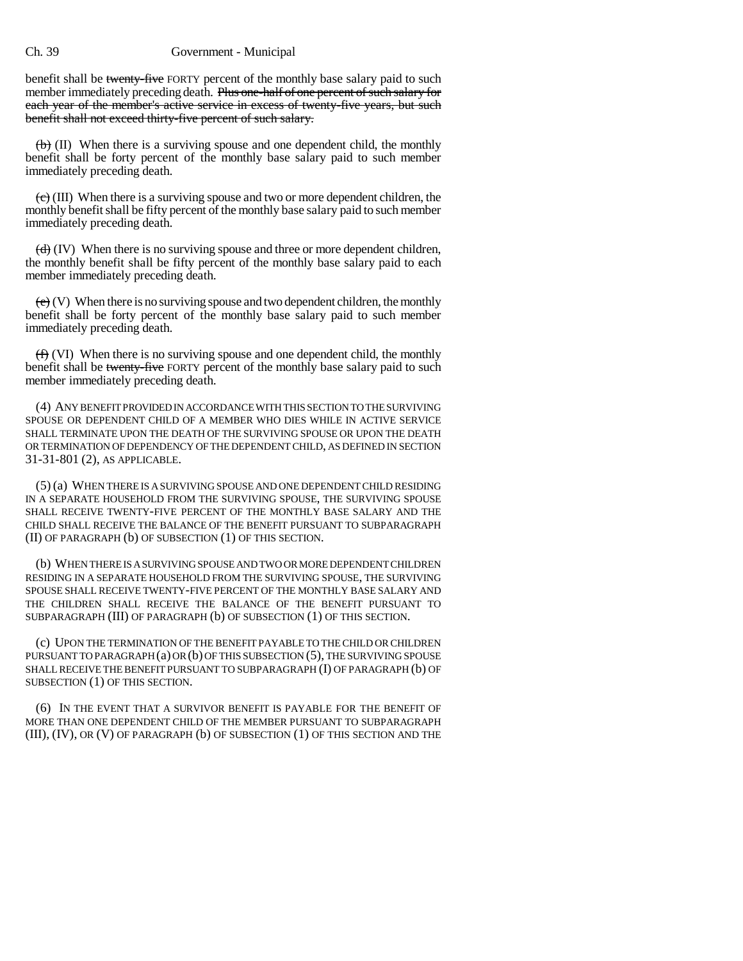## Ch. 39 Government - Municipal

benefit shall be twenty-five FORTY percent of the monthly base salary paid to such member immediately preceding death. Plus one-half of one percent of such salary for each year of the member's active service in excess of twenty-five years, but such benefit shall not exceed thirty-five percent of such salary.

 $\left(\mathbf{b}\right)$  (II) When there is a surviving spouse and one dependent child, the monthly benefit shall be forty percent of the monthly base salary paid to such member immediately preceding death.

 $\langle e \rangle$  (III) When there is a surviving spouse and two or more dependent children, the monthly benefit shall be fifty percent of the monthly base salary paid to such member immediately preceding death.

 $\left(\frac{d}{d}\right)$  (IV) When there is no surviving spouse and three or more dependent children, the monthly benefit shall be fifty percent of the monthly base salary paid to each member immediately preceding death.

 $(e)$  (V) When there is no surviving spouse and two dependent children, the monthly benefit shall be forty percent of the monthly base salary paid to such member immediately preceding death.

 $(f)$  (VI) When there is no surviving spouse and one dependent child, the monthly benefit shall be twenty-five FORTY percent of the monthly base salary paid to such member immediately preceding death.

(4) ANY BENEFIT PROVIDED IN ACCORDANCE WITH THIS SECTION TO THE SURVIVING SPOUSE OR DEPENDENT CHILD OF A MEMBER WHO DIES WHILE IN ACTIVE SERVICE SHALL TERMINATE UPON THE DEATH OF THE SURVIVING SPOUSE OR UPON THE DEATH OR TERMINATION OF DEPENDENCY OF THE DEPENDENT CHILD, AS DEFINED IN SECTION 31-31-801 (2), AS APPLICABLE.

(5) (a) WHEN THERE IS A SURVIVING SPOUSE AND ONE DEPENDENT CHILD RESIDING IN A SEPARATE HOUSEHOLD FROM THE SURVIVING SPOUSE, THE SURVIVING SPOUSE SHALL RECEIVE TWENTY-FIVE PERCENT OF THE MONTHLY BASE SALARY AND THE CHILD SHALL RECEIVE THE BALANCE OF THE BENEFIT PURSUANT TO SUBPARAGRAPH (II) OF PARAGRAPH (b) OF SUBSECTION (1) OF THIS SECTION.

(b) WHEN THERE IS A SURVIVING SPOUSE AND TWO OR MORE DEPENDENT CHILDREN RESIDING IN A SEPARATE HOUSEHOLD FROM THE SURVIVING SPOUSE, THE SURVIVING SPOUSE SHALL RECEIVE TWENTY-FIVE PERCENT OF THE MONTHLY BASE SALARY AND THE CHILDREN SHALL RECEIVE THE BALANCE OF THE BENEFIT PURSUANT TO SUBPARAGRAPH (III) OF PARAGRAPH (b) OF SUBSECTION (1) OF THIS SECTION.

(c) UPON THE TERMINATION OF THE BENEFIT PAYABLE TO THE CHILD OR CHILDREN PURSUANT TO PARAGRAPH (a) OR (b) OF THIS SUBSECTION (5), THE SURVIVING SPOUSE SHALL RECEIVE THE BENEFIT PURSUANT TO SUBPARAGRAPH (I) OF PARAGRAPH (b) OF SUBSECTION (1) OF THIS SECTION.

(6) IN THE EVENT THAT A SURVIVOR BENEFIT IS PAYABLE FOR THE BENEFIT OF MORE THAN ONE DEPENDENT CHILD OF THE MEMBER PURSUANT TO SUBPARAGRAPH (III), (IV), OR (V) OF PARAGRAPH (b) OF SUBSECTION (1) OF THIS SECTION AND THE